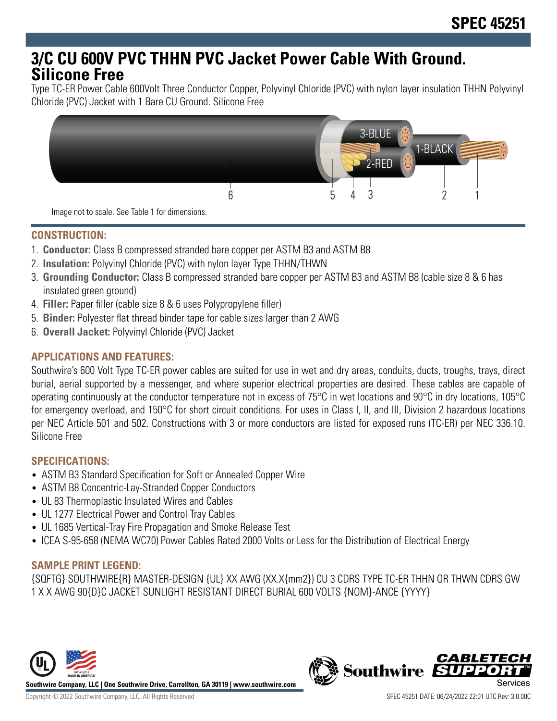# **3/C CU 600V PVC THHN PVC Jacket Power Cable With Ground. Silicone Free**

Type TC-ER Power Cable 600Volt Three Conductor Copper, Polyvinyl Chloride (PVC) with nylon layer insulation THHN Polyvinyl Chloride (PVC) Jacket with 1 Bare CU Ground. Silicone Free



Image not to scale. See Table 1 for dimensions.

## **CONSTRUCTION:**

- 1. **Conductor:** Class B compressed stranded bare copper per ASTM B3 and ASTM B8
- 2. **Insulation:** Polyvinyl Chloride (PVC) with nylon layer Type THHN/THWN
- 3. **Grounding Conductor:** Class B compressed stranded bare copper per ASTM B3 and ASTM B8 (cable size 8 & 6 has insulated green ground)
- 4. **Filler:** Paper filler (cable size 8 & 6 uses Polypropylene filler)
- 5. **Binder:** Polyester flat thread binder tape for cable sizes larger than 2 AWG
- 6. **Overall Jacket:** Polyvinyl Chloride (PVC) Jacket

# **APPLICATIONS AND FEATURES:**

Southwire's 600 Volt Type TC-ER power cables are suited for use in wet and dry areas, conduits, ducts, troughs, trays, direct burial, aerial supported by a messenger, and where superior electrical properties are desired. These cables are capable of operating continuously at the conductor temperature not in excess of 75°C in wet locations and 90°C in dry locations, 105°C for emergency overload, and 150°C for short circuit conditions. For uses in Class I, II, and III, Division 2 hazardous locations per NEC Article 501 and 502. Constructions with 3 or more conductors are listed for exposed runs (TC-ER) per NEC 336.10. Silicone Free

#### **SPECIFICATIONS:**

- ASTM B3 Standard Specification for Soft or Annealed Copper Wire
- ASTM B8 Concentric-Lay-Stranded Copper Conductors
- UL 83 Thermoplastic Insulated Wires and Cables
- UL 1277 Electrical Power and Control Tray Cables
- UL 1685 Vertical-Tray Fire Propagation and Smoke Release Test
- ICEA S-95-658 (NEMA WC70) Power Cables Rated 2000 Volts or Less for the Distribution of Electrical Energy

#### **SAMPLE PRINT LEGEND:**

{SQFTG} SOUTHWIRE{R} MASTER-DESIGN {UL} XX AWG (XX.X{mm2}) CU 3 CDRS TYPE TC-ER THHN OR THWN CDRS GW 1 X X AWG 90{D}C JACKET SUNLIGHT RESISTANT DIRECT BURIAL 600 VOLTS {NOM}-ANCE {YYYY}



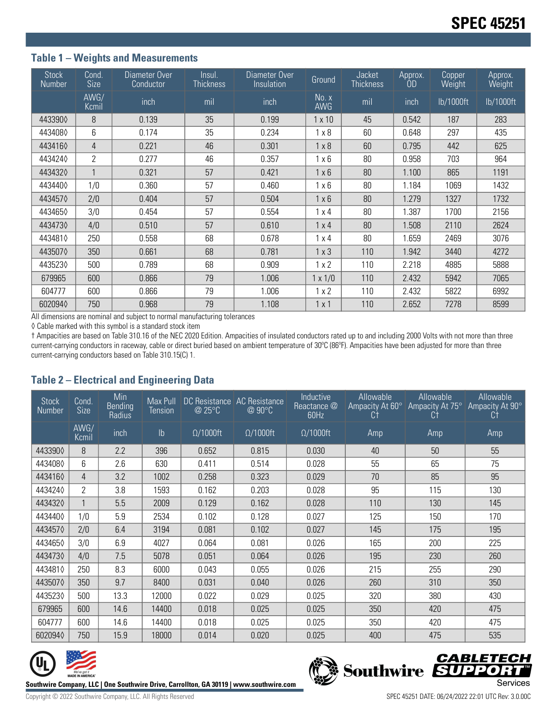### **Table 1 – Weights and Measurements**

| Stock<br>Number | Cond.<br><b>Size</b> | Diameter Over<br>Conductor | Insul.<br><b>Thickness</b> | Diameter Over<br>Insulation | Ground              | <b>Jacket</b><br><b>Thickness</b> | Approx.<br>0D | Copper<br>Weight | Approx.<br>Weight |
|-----------------|----------------------|----------------------------|----------------------------|-----------------------------|---------------------|-----------------------------------|---------------|------------------|-------------------|
|                 | AWG/<br>Kcmil        | inch                       | mil                        | inch                        | No. x<br><b>AWG</b> | mil                               | inch          | lb/1000ft        | lb/1000ft         |
| 4433900         | 8                    | 0.139                      | 35                         | 0.199                       | $1 \times 10$       | 45                                | 0.542         | 187              | 283               |
| 4434080         | 6                    | 0.174                      | 35                         | 0.234                       | $1 \times 8$        | 60                                | 0.648         | 297              | 435               |
| 4434160         | $\overline{4}$       | 0.221                      | 46                         | 0.301                       | $1 \times 8$        | 60                                | 0.795         | 442              | 625               |
| 4434240         | $\overline{2}$       | 0.277                      | 46                         | 0.357                       | $1 \times 6$        | 80                                | 0.958         | 703              | 964               |
| 4434320         |                      | 0.321                      | 57                         | 0.421                       | $1 \times 6$        | 80                                | 1.100         | 865              | 1191              |
| 4434400         | 1/0                  | 0.360                      | 57                         | 0.460                       | $1 \times 6$        | 80                                | 1.184         | 1069             | 1432              |
| 4434570         | 2/0                  | 0.404                      | 57                         | 0.504                       | $1 \times 6$        | 80                                | 1.279         | 1327             | 1732              |
| 4434650         | 3/0                  | 0.454                      | 57                         | 0.554                       | $1 \times 4$        | 80                                | 1.387         | 1700             | 2156              |
| 4434730         | 4/0                  | 0.510                      | 57                         | 0.610                       | $1 \times 4$        | 80                                | 1.508         | 2110             | 2624              |
| 4434810         | 250                  | 0.558                      | 68                         | 0.678                       | $1 \times 4$        | 80                                | 1.659         | 2469             | 3076              |
| 4435070         | 350                  | 0.661                      | 68                         | 0.781                       | $1 \times 3$        | 110                               | 1.942         | 3440             | 4272              |
| 4435230         | 500                  | 0.789                      | 68                         | 0.909                       | 1x2                 | 110                               | 2.218         | 4885             | 5888              |
| 679965          | 600                  | 0.866                      | 79                         | 1.006                       | $1 \times 1/0$      | 110                               | 2.432         | 5942             | 7065              |
| 604777          | 600                  | 0.866                      | 79                         | 1.006                       | 1x2                 | 110                               | 2.432         | 5822             | 6992              |
| 6020940         | 750                  | 0.968                      | 79                         | 1.108                       | $1 \times 1$        | 110                               | 2.652         | 7278             | 8599              |

All dimensions are nominal and subject to normal manufacturing tolerances

◊ Cable marked with this symbol is a standard stock item

† Ampacities are based on Table 310.16 of the NEC 2020 Edition. Ampacities of insulated conductors rated up to and including 2000 Volts with not more than three current-carrying conductors in raceway, cable or direct buried based on ambient temperature of 30ºC (86ºF). Ampacities have been adjusted for more than three current-carrying conductors based on Table 310.15(C) 1.

#### **Table 2 – Electrical and Engineering Data**

| <b>Stock</b><br><b>Number</b> | Cond.<br>Size  | Min<br><b>Bending</b><br>Radius | Max Pull<br>Tension | DC Resistance   AC Resistance<br>@ 25°C | @ 90°C           | Inductive<br>Reactance @<br>60Hz | Allowable<br>Ampacity At 60°<br>Ct | Allowable<br>Ampacity At 75°<br>Ct | Allowable<br>Ampacity At 90°<br>Ct |
|-------------------------------|----------------|---------------------------------|---------------------|-----------------------------------------|------------------|----------------------------------|------------------------------------|------------------------------------|------------------------------------|
|                               | AWG/<br>Kcmil  | inch                            | Ib                  | $\Omega/1000$ ft                        | $\Omega/1000$ ft | $\Omega/1000$ ft                 | Amp                                | Amp                                | Amp                                |
| 4433900                       | 8              | 2.2                             | 396                 | 0.652                                   | 0.815            | 0.030                            | 40                                 | 50                                 | 55                                 |
| 4434080                       | 6              | 2.6                             | 630                 | 0.411                                   | 0.514            | 0.028                            | 55                                 | 65                                 | 75                                 |
| 4434160                       | 4              | 3.2                             | 1002                | 0.258                                   | 0.323            | 0.029                            | 70                                 | 85                                 | 95                                 |
| 4434240                       | $\overline{2}$ | 3.8                             | 1593                | 0.162                                   | 0.203            | 0.028                            | 95                                 | 115                                | 130                                |
| 4434320                       | $\mathbf{1}$   | 5.5                             | 2009                | 0.129                                   | 0.162            | 0.028                            | 110                                | 130                                | 145                                |
| 4434400                       | 1/0            | 5.9                             | 2534                | 0.102                                   | 0.128            | 0.027                            | 125                                | 150                                | 170                                |
| 4434570                       | 2/0            | 6.4                             | 3194                | 0.081                                   | 0.102            | 0.027                            | 145                                | 175                                | 195                                |
| 4434650                       | 3/0            | 6.9                             | 4027                | 0.064                                   | 0.081            | 0.026                            | 165                                | 200                                | 225                                |
| 4434730                       | 4/0            | 7.5                             | 5078                | 0.051                                   | 0.064            | 0.026                            | 195                                | 230                                | 260                                |
| 4434810                       | 250            | 8.3                             | 6000                | 0.043                                   | 0.055            | 0.026                            | 215                                | 255                                | 290                                |
| 4435070                       | 350            | 9.7                             | 8400                | 0.031                                   | 0.040            | 0.026                            | 260                                | 310                                | 350                                |
| 4435230                       | 500            | 13.3                            | 12000               | 0.022                                   | 0.029            | 0.025                            | 320                                | 380                                | 430                                |
| 679965                        | 600            | 14.6                            | 14400               | 0.018                                   | 0.025            | 0.025                            | 350                                | 420                                | 475                                |
| 604777                        | 600            | 14.6                            | 14400               | 0.018                                   | 0.025            | 0.025                            | 350                                | 420                                | 475                                |
| 6020940                       | 750            | 15.9                            | 18000               | 0.014                                   | 0.020            | 0.025                            | 400                                | 475                                | 535                                |